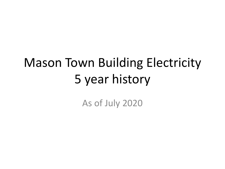# Mason Town Building Electricity 5 year history

As of July 2020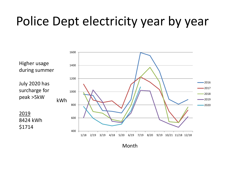## Police Dept electricity year by year



Month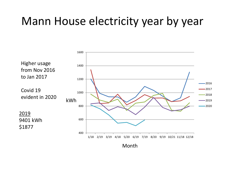#### Mann House electricity year by year

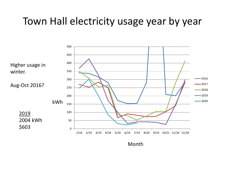#### Town Hall electricity usage year by year

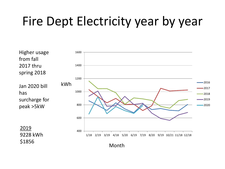## Fire Dept Electricity year by year

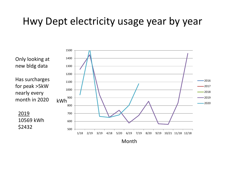#### Hwy Dept electricity usage year by year

500 600 700 800 900 1000 1100 1200 1300 1400 1500 1/18 2/19 3/19 4/18 5/20 6/19 7/19 8/20 9/19 10/21 11/18 12/18 2016  $-2017$ 2018  $-2019$  $-2020$ Month kWh Only looking at new bldg data Has surcharges for peak >5kW nearly every month in 2020 2019 10569 kWh \$2432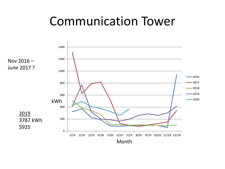### Communication Tower

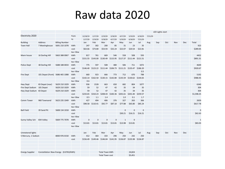#### Raw data 2020

|                          |                                       |                       |            |             |             |                        |                                                       |                                     |                   |                   |         | LED Lights start |     |     |     |                |
|--------------------------|---------------------------------------|-----------------------|------------|-------------|-------------|------------------------|-------------------------------------------------------|-------------------------------------|-------------------|-------------------|---------|------------------|-----|-----|-----|----------------|
| Electricity 2020         |                                       |                       | from       | 12/18/19    | 1/17/20     | 2/19/20                | 3/18/20                                               | 4/17/20                             | 5/19/20           | 6/18/20           | 7/21/20 |                  |     |     |     |                |
|                          |                                       |                       | to         | 1/17/20     | 2/19/20     | 3/18/20                | 4/17/20                                               | 5/19/20                             | 6/18/20           | 7/21/20           |         |                  |     |     |     |                |
| <b>Building</b>          | Address                               | <b>Billing Number</b> |            | Jan         | Feb         | Mar                    | Apr                                                   | May                                 | Jun               | Jul               | Aug     | Sep              | Oct | Nov | Dec | Total          |
| <b>Town Hall</b>         | 7 Meetinghouse                        | 5691 210 1078         | kWh        | 247         | 302         | 200                    | 85                                                    | 31                                  | 23                | 35                |         |                  |     |     |     | 923            |
|                          |                                       |                       | cost       | \$63.66     | \$73.80     | \$53.93                | \$32.24                                               | \$22.07                             | \$20.54           | \$22.81           |         |                  |     |     |     | \$289.05       |
|                          |                                       |                       | kw >5kw    |             |             |                        |                                                       |                                     |                   |                   |         |                  |     |     |     |                |
| Mann house               | 16 Darling Hill                       | 5663 388 0067         | kWh        | 817         | 761         | 669                    | 546                                                   | 558                                 | 508               | 593               |         |                  |     |     |     | 4452           |
|                          |                                       |                       | cost       | \$151.55    |             | \$143.00 \$130.49      |                                                       | \$115.95 \$117.37                   | \$111.44 \$121.51 |                   |         |                  |     |     |     | \$891.31       |
|                          |                                       |                       | kw >5kw    |             |             |                        |                                                       |                                     |                   |                   |         |                  |     |     |     |                |
| Police Dept              | 38 Darling Hill                       | 5688 188 0033         | kWh        | 775         | 597         | 508                    | 480                                                   | 506                                 | 711               | 1072              |         |                  |     |     |     | 4649           |
|                          |                                       |                       | cost       | \$146.40    |             | \$123.22 \$111.44      |                                                       | \$106.73 \$111.21 \$135.47 \$186.20 |                   |                   |         |                  |     |     |     | \$920.67       |
|                          |                                       |                       | kw >5kw    |             |             |                        |                                                       |                                     |                   | 0.5               |         |                  |     |     |     |                |
| Fire Dept                | 101 Depot (front) 5686 465 1088       |                       | kWh        | 660         | 923         | 666                    | 773                                                   | 712                                 | 670               | 788               |         |                  |     |     |     | 5192           |
|                          |                                       |                       | cost       | \$142.14    |             |                        | \$162.50 \$130.15 \$142.80 \$135.59 \$130.62 \$144.65 |                                     |                   |                   |         |                  |     |     |     | \$988.45       |
|                          |                                       |                       | kw >5kw    | 0.6         |             |                        |                                                       |                                     |                   |                   |         |                  |     |     |     |                |
| <b>Hwy Dept</b>          | 83 Depot (rear)                       | 5629 210 1029         | kWh        | 936         | 1528        | 663                    | 650                                                   | 682                                 | 804               | 1077              |         |                  |     |     |     | 6340           |
| Fire Dept Sodium         | 101 Depot                             | 5629 210 1029         | kWh        | 59          | 52          | 47                     | 42                                                    | 35                                  | 34                | 35                |         |                  |     |     |     | 304            |
| Hwy Dept Sodium 83 Depot |                                       | 5629 210 1029         | kWh        | 59          | 52          | 47                     | 42                                                    | 35                                  | 34                | 35                |         |                  |     |     |     | 304            |
|                          |                                       |                       | cost       | \$233.65    | \$310.23    | \$208.43               | \$183.36                                              | \$201.61                            | \$201.40          | \$259.57          |         |                  |     |     |     | \$1,598.25     |
|                          |                                       |                       | kw >5kw    | 0.5         | 1.1         | 1.4                    |                                                       | 1.0                                 | 0.1               | 1.7               |         |                  |     |     |     |                |
| Comm Tower               | 960 Townsend                          | 5623 235 1049         | <b>kWh</b> | 427         | 494         | 406                    | 376                                                   | 327                                 | 263               | 366               |         |                  |     |     |     | 2659           |
|                          |                                       |                       | cost       | \$98.58     | \$110.41    | \$92.77                | \$87.10                                               | \$77.88                             | \$65.80           | \$85.24           |         |                  |     |     |     | \$617.78       |
|                          |                                       |                       | kw >5kw    |             |             |                        |                                                       |                                     |                   |                   |         |                  |     |     |     |                |
| <b>Ball Field</b>        | 39 Sand Pit                           | 5608 134 1018         | kWh        |             |             |                        |                                                       | $\mathbf 0$                         | $\mathbf{0}$      | $\overline{0}$    |         |                  |     |     |     | $\mathbf 0$    |
|                          |                                       |                       | cost       |             |             |                        |                                                       | \$30.21                             | \$16.21           | \$16.21           |         |                  |     |     |     | \$62.63        |
|                          |                                       |                       | kw >5kw    |             |             |                        |                                                       |                                     |                   |                   |         |                  |     |     |     |                |
| Sunny Valley Sch         | 834 Valley                            | 5669 775 7078         | kWh        | $\mathbf 0$ | $\mathbf 0$ | $\mathbf 0$            | $\mathbf 0$                                           | $\mathbf{1}$                        | $\mathbf 0$       |                   |         |                  |     |     |     | $\overline{1}$ |
|                          |                                       |                       | cost       | \$13.81     | \$13.81     | \$13.81                | \$13.81                                               | \$13.98                             | \$13.81           |                   |         |                  |     |     |     | \$83.03        |
|                          |                                       |                       | kw >5kw    |             |             |                        |                                                       |                                     |                   |                   |         |                  |     |     |     |                |
|                          |                                       |                       |            |             |             |                        |                                                       |                                     |                   |                   |         |                  |     |     |     |                |
| Unmetered lights         |                                       |                       |            | Jan         | Feb         | Mar                    | Apr                                                   | May                                 | Jun               | Jul               | Aug     | Sep              | Oct | Nov | Dec |                |
| 5 Mercury, 1 Sodium      |                                       | 8000 976 0150         | kWh        | 412         | 364         | 333                    | 296                                                   | 250                                 | 242               | 250               |         |                  |     |     |     |                |
|                          |                                       |                       | cost       | \$156.49    |             | \$149.46 \$146.04      | \$141.95                                              | \$136.87                            |                   | \$135.98 \$136.87 |         |                  |     |     |     |                |
|                          |                                       |                       |            |             |             |                        |                                                       |                                     |                   |                   |         |                  |     |     |     |                |
| <b>Energy Supplier</b>   | Constellation New Energy (0.0763/kWh) |                       |            |             |             | <b>Total Town kWh</b>  |                                                       |                                     | 24,824            |                   |         |                  |     |     |     |                |
|                          |                                       |                       |            |             |             | <b>Total Town cost</b> |                                                       |                                     | \$5,451           |                   |         |                  |     |     |     |                |
|                          |                                       |                       |            |             |             |                        |                                                       |                                     |                   |                   |         |                  |     |     |     |                |